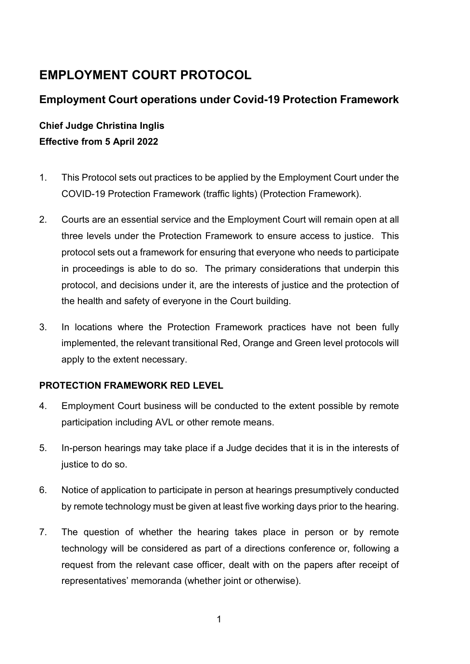# **EMPLOYMENT COURT PROTOCOL**

## **Employment Court operations under Covid-19 Protection Framework**

## **Chief Judge Christina Inglis Effective from 5 April 2022**

- 1. This Protocol sets out practices to be applied by the Employment Court under the COVID-19 Protection Framework (traffic lights) (Protection Framework).
- 2. Courts are an essential service and the Employment Court will remain open at all three levels under the Protection Framework to ensure access to justice. This protocol sets out a framework for ensuring that everyone who needs to participate in proceedings is able to do so. The primary considerations that underpin this protocol, and decisions under it, are the interests of justice and the protection of the health and safety of everyone in the Court building.
- 3. In locations where the Protection Framework practices have not been fully implemented, the relevant transitional Red, Orange and Green level protocols will apply to the extent necessary.

#### **PROTECTION FRAMEWORK RED LEVEL**

- 4. Employment Court business will be conducted to the extent possible by remote participation including AVL or other remote means.
- 5. In-person hearings may take place if a Judge decides that it is in the interests of justice to do so.
- 6. Notice of application to participate in person at hearings presumptively conducted by remote technology must be given at least five working days prior to the hearing.
- 7. The question of whether the hearing takes place in person or by remote technology will be considered as part of a directions conference or, following a request from the relevant case officer, dealt with on the papers after receipt of representatives' memoranda (whether joint or otherwise).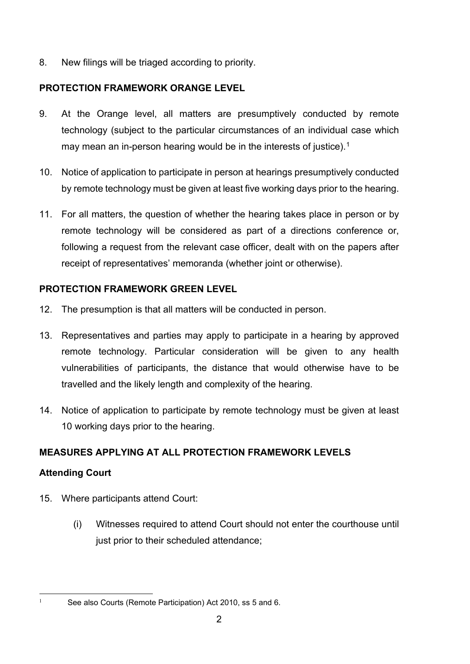8. New filings will be triaged according to priority.

## **PROTECTION FRAMEWORK ORANGE LEVEL**

- 9. At the Orange level, all matters are presumptively conducted by remote technology (subject to the particular circumstances of an individual case which may mean an in-person hearing would be in the interests of justice). [1](#page-1-0)
- 10. Notice of application to participate in person at hearings presumptively conducted by remote technology must be given at least five working days prior to the hearing.
- 11. For all matters, the question of whether the hearing takes place in person or by remote technology will be considered as part of a directions conference or, following a request from the relevant case officer, dealt with on the papers after receipt of representatives' memoranda (whether joint or otherwise).

## **PROTECTION FRAMEWORK GREEN LEVEL**

- 12. The presumption is that all matters will be conducted in person.
- 13. Representatives and parties may apply to participate in a hearing by approved remote technology. Particular consideration will be given to any health vulnerabilities of participants, the distance that would otherwise have to be travelled and the likely length and complexity of the hearing.
- 14. Notice of application to participate by remote technology must be given at least 10 working days prior to the hearing.

## **MEASURES APPLYING AT ALL PROTECTION FRAMEWORK LEVELS**

## **Attending Court**

- 15. Where participants attend Court:
	- (i) Witnesses required to attend Court should not enter the courthouse until just prior to their scheduled attendance;

<span id="page-1-0"></span>

<sup>&</sup>lt;sup>1</sup> See also Courts (Remote Participation) Act 2010, ss 5 and 6.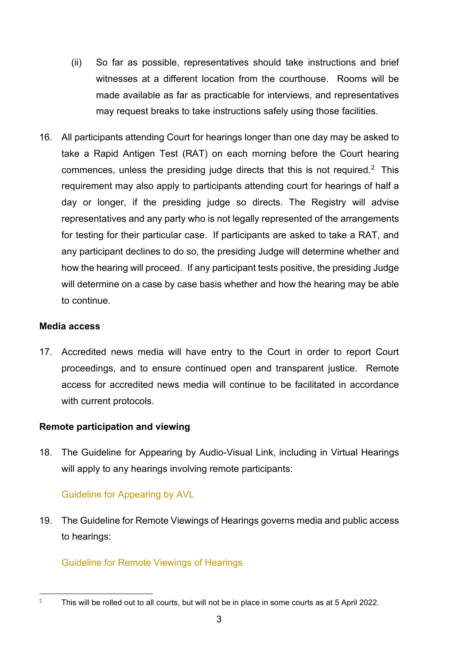- (ii) So far as possible, representatives should take instructions and brief witnesses at a different location from the courthouse. Rooms will be made available as far as practicable for interviews, and representatives may request breaks to take instructions safely using those facilities.
- 16. All participants attending Court for hearings longer than one day may be asked to take a Rapid Antigen Test (RAT) on each morning before the Court hearing commences, unless the presiding judge directs that this is not required. [2](#page-2-0) This requirement may also apply to participants attending court for hearings of half a day or longer, if the presiding judge so directs. The Registry will advise representatives and any party who is not legally represented of the arrangements for testing for their particular case. If participants are asked to take a RAT, and any participant declines to do so, the presiding Judge will determine whether and how the hearing will proceed. If any participant tests positive, the presiding Judge will determine on a case by case basis whether and how the hearing may be able to continue.

#### **Media access**

17. Accredited news media will have entry to the Court in order to report Court proceedings, and to ensure continued open and transparent justice. Remote access for accredited news media will continue to be facilitated in accordance with current protocols.

#### **Remote participation and viewing**

18. [The Guideline for Appearing by Audio-Visual Link, including in Virtual](https://www.courtsofnz.govt.nz/publications/announcements/covid-19/court-protocols/court-of-appeal/#remote-hearings-protocol) Hearings will apply to any hearings involving remote participants:

#### [Guideline for Appearing by AVL](https://employmentcourt.govt.nz/assets/Documents/Publications/Guideline-for-appearing-by-Audio-Visual-Link-including-Virtual-Hearings-February-2022.pdf)

19. The Guideline [for Remote Viewings of Hearings](https://www.courtsofnz.govt.nz/publications/announcements/covid-19/court-protocols/court-of-appeal/#remote-hearings-protocol) governs media and public access to hearings:

## [Guideline for Remote Viewings of Hearings](https://employmentcourt.govt.nz/assets/Documents/Publications/Guideline-for-Remote-Viewing-of-Hearings1-February-2022.pdf)

<span id="page-2-0"></span><sup>&</sup>lt;sup>2</sup> This will be rolled out to all courts, but will not be in place in some courts as at 5 April 2022.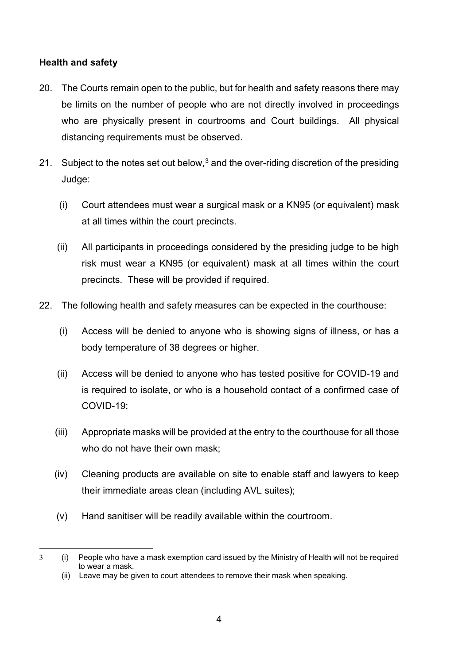#### **Health and safety**

- 20. The Courts remain open to the public, but for health and safety reasons there may be limits on the number of people who are not directly involved in proceedings who are physically present in courtrooms and Court buildings. All physical distancing requirements must be observed.
- 21. Subject to the notes set out below, $3$  and the over-riding discretion of the presiding Judge:
	- (i) Court attendees must wear a surgical mask or a KN95 (or equivalent) mask at all times within the court precincts.
	- (ii) All participants in proceedings considered by the presiding judge to be high risk must wear a KN95 (or equivalent) mask at all times within the court precincts. These will be provided if required.
- 22. The following health and safety measures can be expected in the courthouse:
	- (i) Access will be denied to anyone who is showing signs of illness, or has a body temperature of 38 degrees or higher.
	- (ii) Access will be denied to anyone who has tested positive for COVID-19 and is required to isolate, or who is a household contact of a confirmed case of COVID-19;
	- (iii) Appropriate masks will be provided at the entry to the courthouse for all those who do not have their own mask;
	- (iv) Cleaning products are available on site to enable staff and lawyers to keep their immediate areas clean (including AVL suites);
	- (v) Hand sanitiser will be readily available within the courtroom.

<span id="page-3-0"></span><sup>3</sup> (i) People who have a mask exemption card issued by the Ministry of Health will not be required to wear a mask.

<sup>(</sup>ii) Leave may be given to court attendees to remove their mask when speaking.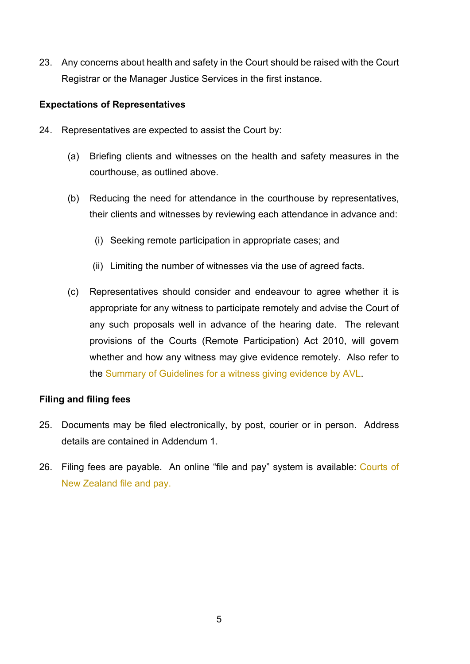23. Any concerns about health and safety in the Court should be raised with the Court Registrar or the Manager Justice Services in the first instance.

#### **Expectations of Representatives**

- 24. Representatives are expected to assist the Court by:
	- (a) Briefing clients and witnesses on the health and safety measures in the courthouse, as outlined above.
	- (b) Reducing the need for attendance in the courthouse by representatives, their clients and witnesses by reviewing each attendance in advance and:
		- (i) Seeking remote participation in appropriate cases; and
		- (ii) Limiting the number of witnesses via the use of agreed facts.
	- (c) Representatives should consider and endeavour to agree whether it is appropriate for any witness to participate remotely and advise the Court of any such proposals well in advance of the hearing date. The relevant provisions of the Courts (Remote Participation) Act 2010, will govern whether and how any witness may give evidence remotely. Also refer to the [Summary of Guidelines for a witness giving evidence by AVL.](https://employmentcourt.govt.nz/assets/Documents/Publications/Summary-of-Guidelines-for-a-witness-giving-evidence-by-AVL-September-2021.pdf)

#### **Filing and filing fees**

- 25. Documents may be filed electronically, by post, courier or in person. Address details are contained in Addendum 1.
- 26. Filing fees are payable. An online "file and pay" system is available: [Courts of](https://www.courtsofnz.govt.nz/file-and-pay/)  [New Zealand file and pay.](https://www.courtsofnz.govt.nz/file-and-pay/)